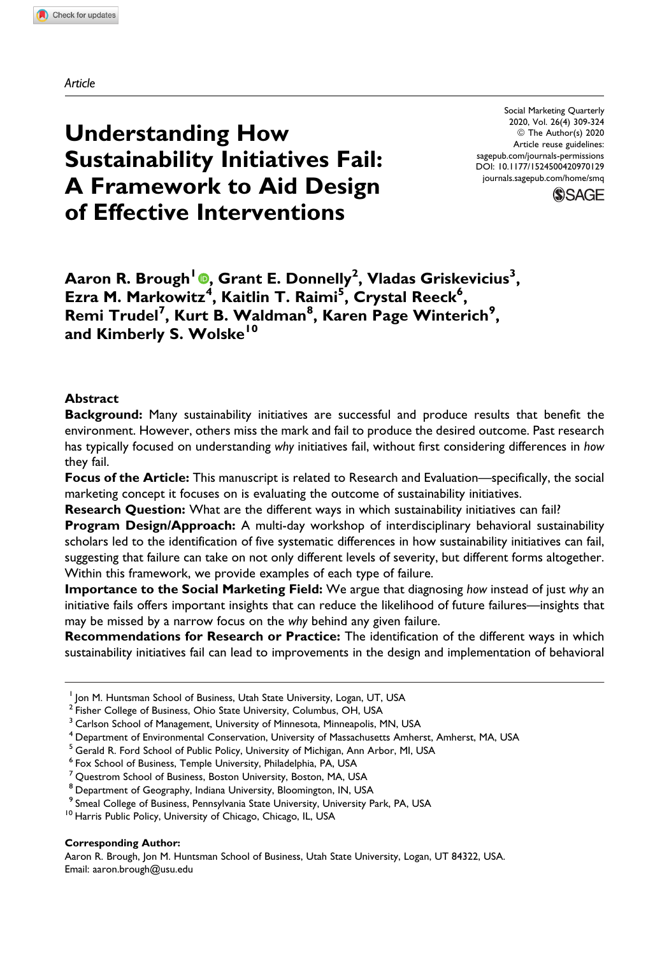**Understanding How Sustainability Initiatives Fail: A Framework to Aid Design of Effective Interventions**

Social Marketing Quarterly 2020, Vol. 26(4) 309-324 © The Author(s) 2020 Article reuse guidelines: [sagepub.com/journals-permissions](https://sagepub.com/journals-permissions) [DOI: 10.1177/1524500420970129](https://doi.org/10.1177/1524500420970129) [journals.sagepub.com/home/smq](http://journals.sagepub.com/home/smq)



**Aaron R. Brough<sup>1</sup> [,](https://orcid.org/0000-0003-2457-3199) Grant E. Donnelly<sup>2</sup> , Vladas Griskevicius<sup>3</sup> , Ezra M. Markowitz<sup>4</sup> , Kaitlin T. Raimi<sup>5</sup> , Crystal Reeck6 , Remi Trudel<sup>7</sup> , Kurt B. Waldman<sup>8</sup> , Karen Page Winterich<sup>9</sup> , and Kimberly S. Wolske<sup>10</sup>**

#### **Abstract**

**Background:** Many sustainability initiatives are successful and produce results that benefit the environment. However, others miss the mark and fail to produce the desired outcome. Past research has typically focused on understanding *why* initiatives fail, without first considering differences in *how* they fail.

**Focus of the Article:** This manuscript is related to Research and Evaluation—specifically, the social marketing concept it focuses on is evaluating the outcome of sustainability initiatives.

**Research Question:** What are the different ways in which sustainability initiatives can fail?

**Program Design/Approach:** A multi-day workshop of interdisciplinary behavioral sustainability scholars led to the identification of five systematic differences in how sustainability initiatives can fail, suggesting that failure can take on not only different levels of severity, but different forms altogether. Within this framework, we provide examples of each type of failure.

**Importance to the Social Marketing Field:** We argue that diagnosing *how* instead of just *why* an initiative fails offers important insights that can reduce the likelihood of future failures—insights that may be missed by a narrow focus on the *why* behind any given failure.

**Recommendations for Research or Practice:** The identification of the different ways in which sustainability initiatives fail can lead to improvements in the design and implementation of behavioral

#### **Corresponding Author:**

Aaron R. Brough, Jon M. Huntsman School of Business, Utah State University, Logan, UT 84322, USA. Email: [aaron.brough@usu.edu](mailto:aaron.brough@usu.edu)

<sup>&</sup>lt;sup>1</sup> Jon M. Huntsman School of Business, Utah State University, Logan, UT, USA

<sup>&</sup>lt;sup>2</sup> Fisher College of Business, Ohio State University, Columbus, OH, USA

<sup>&</sup>lt;sup>3</sup> Carlson School of Management, University of Minnesota, Minneapolis, MN, USA

<sup>&</sup>lt;sup>4</sup> Department of Environmental Conservation, University of Massachusetts Amherst, Amherst, MA, USA

<sup>&</sup>lt;sup>5</sup> Gerald R. Ford School of Public Policy, University of Michigan, Ann Arbor, MI, USA

<sup>6</sup> Fox School of Business, Temple University, Philadelphia, PA, USA

<sup>7</sup> Questrom School of Business, Boston University, Boston, MA, USA

<sup>&</sup>lt;sup>8</sup> Department of Geography, Indiana University, Bloomington, IN, USA

<sup>&</sup>lt;sup>9</sup> Smeal College of Business, Pennsylvania State University, University Park, PA, USA <sup>10</sup> Harris Public Policy, University of Chicago, Chicago, IL, USA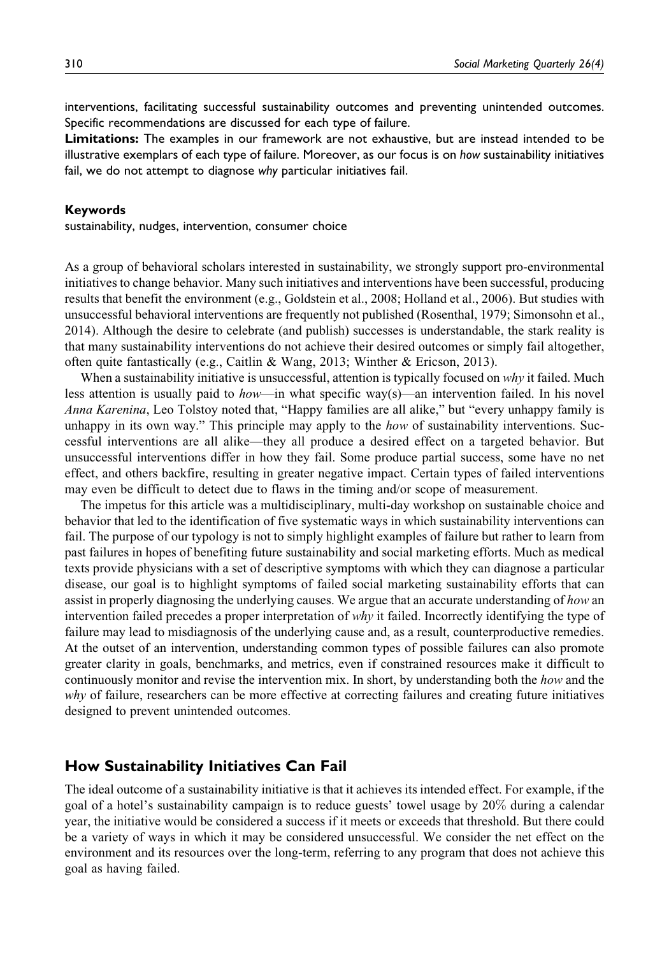interventions, facilitating successful sustainability outcomes and preventing unintended outcomes. Specific recommendations are discussed for each type of failure.

**Limitations:** The examples in our framework are not exhaustive, but are instead intended to be illustrative exemplars of each type of failure. Moreover, as our focus is on *how* sustainability initiatives fail, we do not attempt to diagnose *why* particular initiatives fail.

#### **Keywords**

sustainability, nudges, intervention, consumer choice

As a group of behavioral scholars interested in sustainability, we strongly support pro-environmental initiatives to change behavior. Many such initiatives and interventions have been successful, producing results that benefit the environment (e.g., Goldstein et al., 2008; Holland et al., 2006). But studies with unsuccessful behavioral interventions are frequently not published (Rosenthal, 1979; Simonsohn et al., 2014). Although the desire to celebrate (and publish) successes is understandable, the stark reality is that many sustainability interventions do not achieve their desired outcomes or simply fail altogether, often quite fantastically (e.g., Caitlin & Wang, 2013; Winther & Ericson, 2013).

When a sustainability initiative is unsuccessful, attention is typically focused on  $whv$  it failed. Much less attention is usually paid to how—in what specific way(s)—an intervention failed. In his novel Anna Karenina, Leo Tolstoy noted that, "Happy families are all alike," but "every unhappy family is unhappy in its own way." This principle may apply to the *how* of sustainability interventions. Successful interventions are all alike—they all produce a desired effect on a targeted behavior. But unsuccessful interventions differ in how they fail. Some produce partial success, some have no net effect, and others backfire, resulting in greater negative impact. Certain types of failed interventions may even be difficult to detect due to flaws in the timing and/or scope of measurement.

The impetus for this article was a multidisciplinary, multi-day workshop on sustainable choice and behavior that led to the identification of five systematic ways in which sustainability interventions can fail. The purpose of our typology is not to simply highlight examples of failure but rather to learn from past failures in hopes of benefiting future sustainability and social marketing efforts. Much as medical texts provide physicians with a set of descriptive symptoms with which they can diagnose a particular disease, our goal is to highlight symptoms of failed social marketing sustainability efforts that can assist in properly diagnosing the underlying causes. We argue that an accurate understanding of how an intervention failed precedes a proper interpretation of why it failed. Incorrectly identifying the type of failure may lead to misdiagnosis of the underlying cause and, as a result, counterproductive remedies. At the outset of an intervention, understanding common types of possible failures can also promote greater clarity in goals, benchmarks, and metrics, even if constrained resources make it difficult to continuously monitor and revise the intervention mix. In short, by understanding both the how and the why of failure, researchers can be more effective at correcting failures and creating future initiatives designed to prevent unintended outcomes.

#### **How Sustainability Initiatives Can Fail**

The ideal outcome of a sustainability initiative is that it achieves its intended effect. For example, if the goal of a hotel's sustainability campaign is to reduce guests' towel usage by 20% during a calendar year, the initiative would be considered a success if it meets or exceeds that threshold. But there could be a variety of ways in which it may be considered unsuccessful. We consider the net effect on the environment and its resources over the long-term, referring to any program that does not achieve this goal as having failed.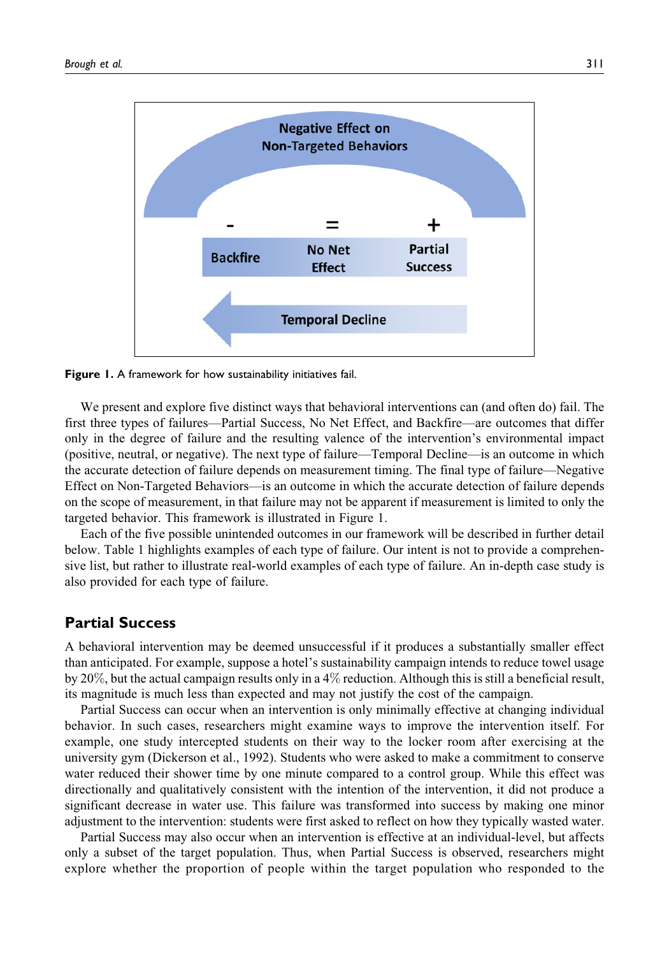

**Figure 1.** A framework for how sustainability initiatives fail.

We present and explore five distinct ways that behavioral interventions can (and often do) fail. The first three types of failures—Partial Success, No Net Effect, and Backfire—are outcomes that differ only in the degree of failure and the resulting valence of the intervention's environmental impact (positive, neutral, or negative). The next type of failure—Temporal Decline—is an outcome in which the accurate detection of failure depends on measurement timing. The final type of failure—Negative Effect on Non-Targeted Behaviors—is an outcome in which the accurate detection of failure depends on the scope of measurement, in that failure may not be apparent if measurement is limited to only the targeted behavior. This framework is illustrated in Figure 1.

Each of the five possible unintended outcomes in our framework will be described in further detail below. Table 1 highlights examples of each type of failure. Our intent is not to provide a comprehensive list, but rather to illustrate real-world examples of each type of failure. An in-depth case study is also provided for each type of failure.

### **Partial Success**

A behavioral intervention may be deemed unsuccessful if it produces a substantially smaller effect than anticipated. For example, suppose a hotel's sustainability campaign intends to reduce towel usage by 20%, but the actual campaign results only in a 4% reduction. Although this is still a beneficial result, its magnitude is much less than expected and may not justify the cost of the campaign.

Partial Success can occur when an intervention is only minimally effective at changing individual behavior. In such cases, researchers might examine ways to improve the intervention itself. For example, one study intercepted students on their way to the locker room after exercising at the university gym (Dickerson et al., 1992). Students who were asked to make a commitment to conserve water reduced their shower time by one minute compared to a control group. While this effect was directionally and qualitatively consistent with the intention of the intervention, it did not produce a significant decrease in water use. This failure was transformed into success by making one minor adjustment to the intervention: students were first asked to reflect on how they typically wasted water.

Partial Success may also occur when an intervention is effective at an individual-level, but affects only a subset of the target population. Thus, when Partial Success is observed, researchers might explore whether the proportion of people within the target population who responded to the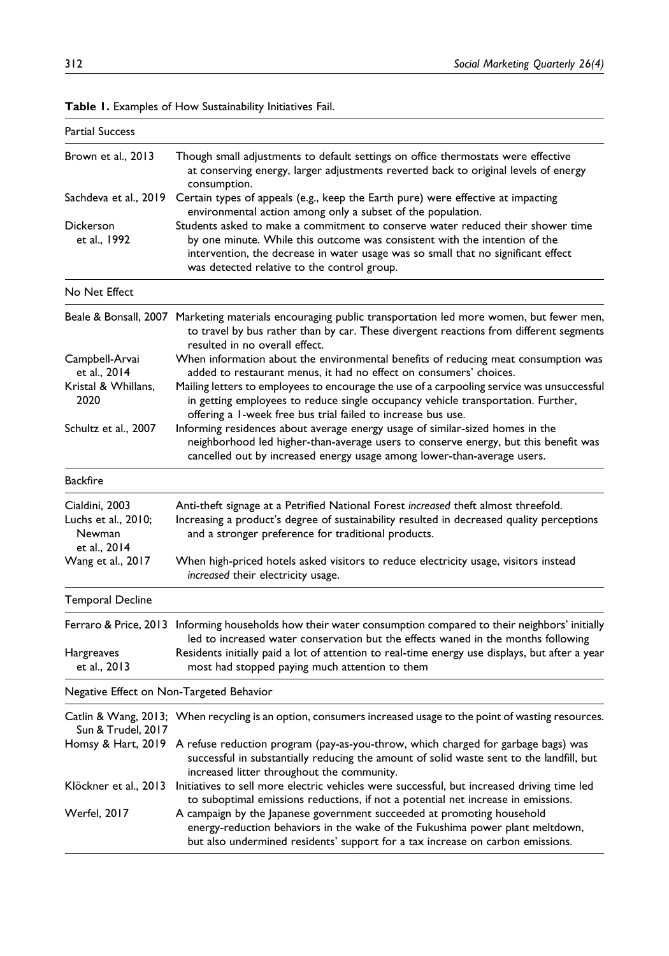| <b>Partial Success</b>                                          |                                                                                                                                                                                                                                                                                                                                                                                                            |
|-----------------------------------------------------------------|------------------------------------------------------------------------------------------------------------------------------------------------------------------------------------------------------------------------------------------------------------------------------------------------------------------------------------------------------------------------------------------------------------|
| Brown et al., 2013                                              | Though small adjustments to default settings on office thermostats were effective<br>at conserving energy, larger adjustments reverted back to original levels of energy<br>consumption.                                                                                                                                                                                                                   |
| Sachdeva et al., 2019                                           | Certain types of appeals (e.g., keep the Earth pure) were effective at impacting<br>environmental action among only a subset of the population.                                                                                                                                                                                                                                                            |
| Dickerson<br>et al., 1992                                       | Students asked to make a commitment to conserve water reduced their shower time<br>by one minute. While this outcome was consistent with the intention of the<br>intervention, the decrease in water usage was so small that no significant effect<br>was detected relative to the control group.                                                                                                          |
| No Net Effect                                                   |                                                                                                                                                                                                                                                                                                                                                                                                            |
|                                                                 | Beale & Bonsall, 2007 Marketing materials encouraging public transportation led more women, but fewer men,<br>to travel by bus rather than by car. These divergent reactions from different segments<br>resulted in no overall effect.                                                                                                                                                                     |
| Campbell-Arvai<br>et al., 2014<br>Kristal & Whillans,<br>2020   | When information about the environmental benefits of reducing meat consumption was<br>added to restaurant menus, it had no effect on consumers' choices.<br>Mailing letters to employees to encourage the use of a carpooling service was unsuccessful<br>in getting employees to reduce single occupancy vehicle transportation. Further,<br>offering a 1-week free bus trial failed to increase bus use. |
| Schultz et al., 2007                                            | Informing residences about average energy usage of similar-sized homes in the<br>neighborhood led higher-than-average users to conserve energy, but this benefit was<br>cancelled out by increased energy usage among lower-than-average users.                                                                                                                                                            |
| <b>Backfire</b>                                                 |                                                                                                                                                                                                                                                                                                                                                                                                            |
| Cialdini, 2003<br>Luchs et al., 2010;<br>Newman<br>et al., 2014 | Anti-theft signage at a Petrified National Forest increased theft almost threefold.<br>Increasing a product's degree of sustainability resulted in decreased quality perceptions<br>and a stronger preference for traditional products.                                                                                                                                                                    |
| Wang et al., 2017                                               | When high-priced hotels asked visitors to reduce electricity usage, visitors instead<br>increased their electricity usage.                                                                                                                                                                                                                                                                                 |
| <b>Temporal Decline</b>                                         |                                                                                                                                                                                                                                                                                                                                                                                                            |
|                                                                 | Ferraro & Price, 2013 Informing households how their water consumption compared to their neighbors' initially<br>led to increased water conservation but the effects waned in the months following                                                                                                                                                                                                         |
| Hargreaves<br>et al., 2013                                      | Residents initially paid a lot of attention to real-time energy use displays, but after a year<br>most had stopped paying much attention to them                                                                                                                                                                                                                                                           |
| Negative Effect on Non-Targeted Behavior                        |                                                                                                                                                                                                                                                                                                                                                                                                            |
| Sun & Trudel, 2017                                              | Catlin & Wang, 2013; When recycling is an option, consumers increased usage to the point of wasting resources.                                                                                                                                                                                                                                                                                             |
| Homsy & Hart, 2019                                              | A refuse reduction program (pay-as-you-throw, which charged for garbage bags) was<br>successful in substantially reducing the amount of solid waste sent to the landfill, but<br>increased litter throughout the community.                                                                                                                                                                                |
| Klöckner et al., 2013                                           | Initiatives to sell more electric vehicles were successful, but increased driving time led<br>to suboptimal emissions reductions, if not a potential net increase in emissions.                                                                                                                                                                                                                            |
| Werfel, 2017                                                    | A campaign by the Japanese government succeeded at promoting household<br>energy-reduction behaviors in the wake of the Fukushima power plant meltdown,<br>but also undermined residents' support for a tax increase on carbon emissions.                                                                                                                                                                  |

### **Table 1.** Examples of How Sustainability Initiatives Fail.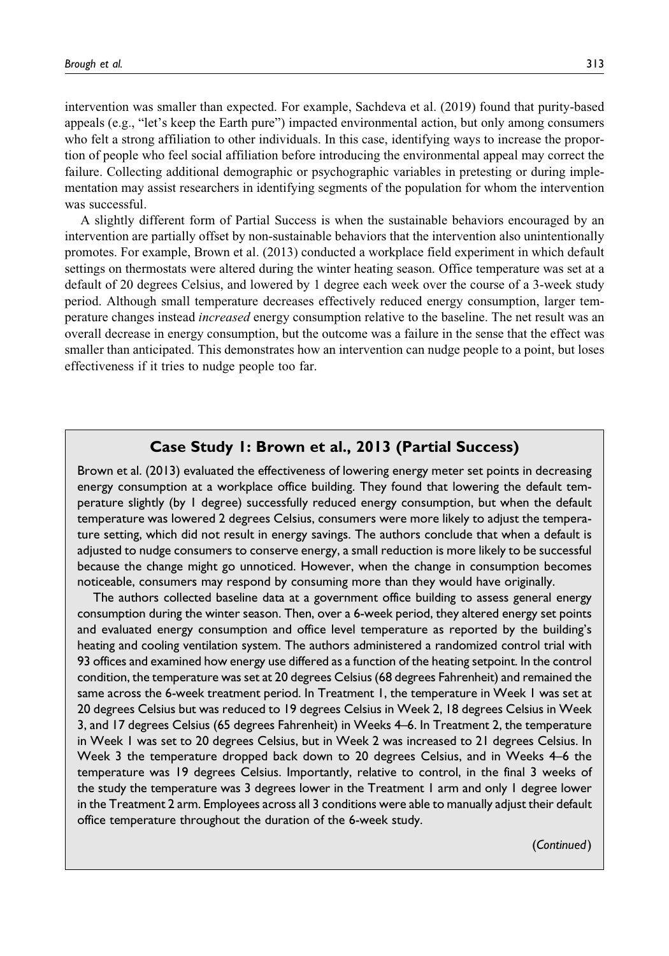intervention was smaller than expected. For example, Sachdeva et al. (2019) found that purity-based appeals (e.g., "let's keep the Earth pure") impacted environmental action, but only among consumers who felt a strong affiliation to other individuals. In this case, identifying ways to increase the proportion of people who feel social affiliation before introducing the environmental appeal may correct the failure. Collecting additional demographic or psychographic variables in pretesting or during implementation may assist researchers in identifying segments of the population for whom the intervention was successful.

A slightly different form of Partial Success is when the sustainable behaviors encouraged by an intervention are partially offset by non-sustainable behaviors that the intervention also unintentionally promotes. For example, Brown et al. (2013) conducted a workplace field experiment in which default settings on thermostats were altered during the winter heating season. Office temperature was set at a default of 20 degrees Celsius, and lowered by 1 degree each week over the course of a 3-week study period. Although small temperature decreases effectively reduced energy consumption, larger temperature changes instead *increased* energy consumption relative to the baseline. The net result was an overall decrease in energy consumption, but the outcome was a failure in the sense that the effect was smaller than anticipated. This demonstrates how an intervention can nudge people to a point, but loses effectiveness if it tries to nudge people too far.

# **Case Study 1: Brown et al., 2013 (Partial Success)**

Brown et al. (2013) evaluated the effectiveness of lowering energy meter set points in decreasing energy consumption at a workplace office building. They found that lowering the default temperature slightly (by 1 degree) successfully reduced energy consumption, but when the default temperature was lowered 2 degrees Celsius, consumers were more likely to adjust the temperature setting, which did not result in energy savings. The authors conclude that when a default is adjusted to nudge consumers to conserve energy, a small reduction is more likely to be successful because the change might go unnoticed. However, when the change in consumption becomes noticeable, consumers may respond by consuming more than they would have originally.

The authors collected baseline data at a government office building to assess general energy consumption during the winter season. Then, over a 6-week period, they altered energy set points and evaluated energy consumption and office level temperature as reported by the building's heating and cooling ventilation system. The authors administered a randomized control trial with 93 offices and examined how energy use differed as a function of the heating setpoint. In the control condition, the temperature was set at 20 degrees Celsius (68 degrees Fahrenheit) and remained the same across the 6-week treatment period. In Treatment 1, the temperature in Week 1 was set at 20 degrees Celsius but was reduced to 19 degrees Celsius in Week 2, 18 degrees Celsius in Week 3, and 17 degrees Celsius (65 degrees Fahrenheit) in Weeks 4–6. In Treatment 2, the temperature in Week 1 was set to 20 degrees Celsius, but in Week 2 was increased to 21 degrees Celsius. In Week 3 the temperature dropped back down to 20 degrees Celsius, and in Weeks 4–6 the temperature was 19 degrees Celsius. Importantly, relative to control, in the final 3 weeks of the study the temperature was 3 degrees lower in the Treatment 1 arm and only 1 degree lower in the Treatment 2 arm. Employees across all 3 conditions were able to manually adjust their default office temperature throughout the duration of the 6-week study.

(*Continued*)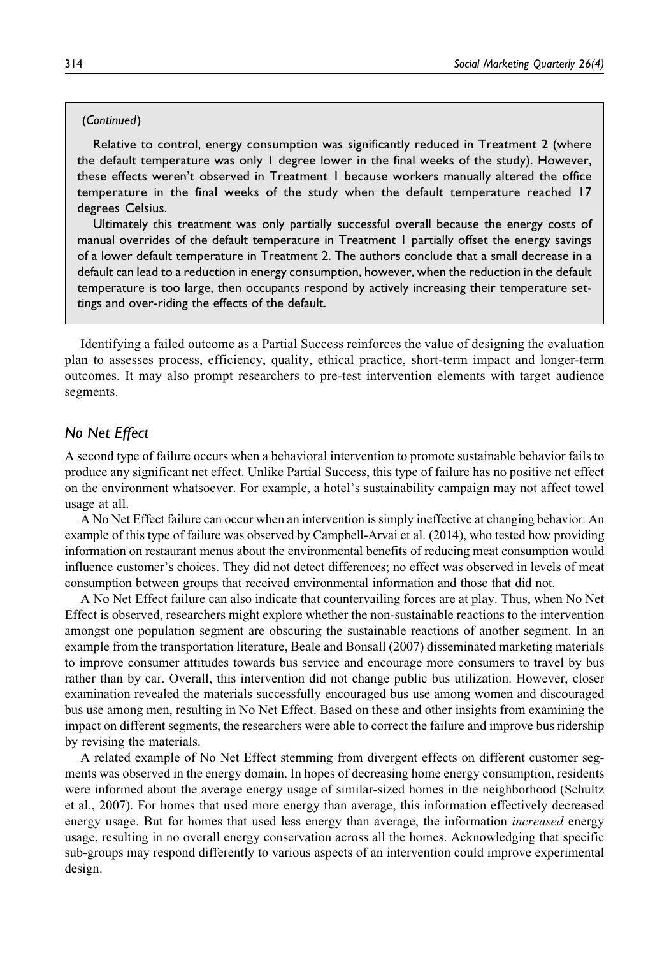#### (*Continued*)

Relative to control, energy consumption was significantly reduced in Treatment 2 (where the default temperature was only 1 degree lower in the final weeks of the study). However, these effects weren't observed in Treatment 1 because workers manually altered the office temperature in the final weeks of the study when the default temperature reached 17 degrees Celsius.

Ultimately this treatment was only partially successful overall because the energy costs of manual overrides of the default temperature in Treatment 1 partially offset the energy savings of a lower default temperature in Treatment 2. The authors conclude that a small decrease in a default can lead to a reduction in energy consumption, however, when the reduction in the default temperature is too large, then occupants respond by actively increasing their temperature settings and over-riding the effects of the default.

Identifying a failed outcome as a Partial Success reinforces the value of designing the evaluation plan to assesses process, efficiency, quality, ethical practice, short-term impact and longer-term outcomes. It may also prompt researchers to pre-test intervention elements with target audience segments.

### *No Net Effect*

A second type of failure occurs when a behavioral intervention to promote sustainable behavior fails to produce any significant net effect. Unlike Partial Success, this type of failure has no positive net effect on the environment whatsoever. For example, a hotel's sustainability campaign may not affect towel usage at all.

A No Net Effect failure can occur when an intervention is simply ineffective at changing behavior. An example of this type of failure was observed by Campbell-Arvai et al. (2014), who tested how providing information on restaurant menus about the environmental benefits of reducing meat consumption would influence customer's choices. They did not detect differences; no effect was observed in levels of meat consumption between groups that received environmental information and those that did not.

A No Net Effect failure can also indicate that countervailing forces are at play. Thus, when No Net Effect is observed, researchers might explore whether the non-sustainable reactions to the intervention amongst one population segment are obscuring the sustainable reactions of another segment. In an example from the transportation literature, Beale and Bonsall (2007) disseminated marketing materials to improve consumer attitudes towards bus service and encourage more consumers to travel by bus rather than by car. Overall, this intervention did not change public bus utilization. However, closer examination revealed the materials successfully encouraged bus use among women and discouraged bus use among men, resulting in No Net Effect. Based on these and other insights from examining the impact on different segments, the researchers were able to correct the failure and improve bus ridership by revising the materials.

A related example of No Net Effect stemming from divergent effects on different customer segments was observed in the energy domain. In hopes of decreasing home energy consumption, residents were informed about the average energy usage of similar-sized homes in the neighborhood (Schultz et al., 2007). For homes that used more energy than average, this information effectively decreased energy usage. But for homes that used less energy than average, the information *increased* energy usage, resulting in no overall energy conservation across all the homes. Acknowledging that specific sub-groups may respond differently to various aspects of an intervention could improve experimental design.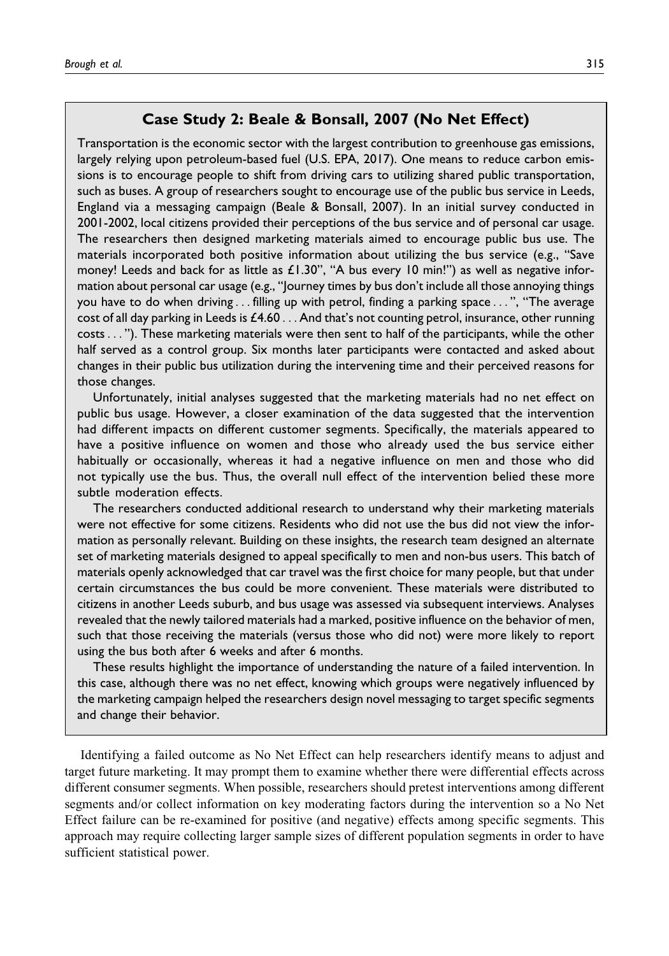### **Case Study 2: Beale & Bonsall, 2007 (No Net Effect)**

Transportation is the economic sector with the largest contribution to greenhouse gas emissions, largely relying upon petroleum-based fuel (U.S. EPA, 2017). One means to reduce carbon emissions is to encourage people to shift from driving cars to utilizing shared public transportation, such as buses. A group of researchers sought to encourage use of the public bus service in Leeds, England via a messaging campaign (Beale & Bonsall, 2007). In an initial survey conducted in 2001-2002, local citizens provided their perceptions of the bus service and of personal car usage. The researchers then designed marketing materials aimed to encourage public bus use. The materials incorporated both positive information about utilizing the bus service (e.g., "Save money! Leeds and back for as little as £1.30", "A bus every 10 min!") as well as negative information about personal car usage (e.g., "Journey times by bus don't include all those annoying things you have to do when driving ... filling up with petrol, finding a parking space ... ", "The average cost of all day parking in Leeds is £4.60 . . . And that's not counting petrol, insurance, other running costs... "). These marketing materials were then sent to half of the participants, while the other half served as a control group. Six months later participants were contacted and asked about changes in their public bus utilization during the intervening time and their perceived reasons for those changes.

Unfortunately, initial analyses suggested that the marketing materials had no net effect on public bus usage. However, a closer examination of the data suggested that the intervention had different impacts on different customer segments. Specifically, the materials appeared to have a positive influence on women and those who already used the bus service either habitually or occasionally, whereas it had a negative influence on men and those who did not typically use the bus. Thus, the overall null effect of the intervention belied these more subtle moderation effects.

The researchers conducted additional research to understand why their marketing materials were not effective for some citizens. Residents who did not use the bus did not view the information as personally relevant. Building on these insights, the research team designed an alternate set of marketing materials designed to appeal specifically to men and non-bus users. This batch of materials openly acknowledged that car travel was the first choice for many people, but that under certain circumstances the bus could be more convenient. These materials were distributed to citizens in another Leeds suburb, and bus usage was assessed via subsequent interviews. Analyses revealed that the newly tailored materials had a marked, positive influence on the behavior of men, such that those receiving the materials (versus those who did not) were more likely to report using the bus both after 6 weeks and after 6 months.

These results highlight the importance of understanding the nature of a failed intervention. In this case, although there was no net effect, knowing which groups were negatively influenced by the marketing campaign helped the researchers design novel messaging to target specific segments and change their behavior.

Identifying a failed outcome as No Net Effect can help researchers identify means to adjust and target future marketing. It may prompt them to examine whether there were differential effects across different consumer segments. When possible, researchers should pretest interventions among different segments and/or collect information on key moderating factors during the intervention so a No Net Effect failure can be re-examined for positive (and negative) effects among specific segments. This approach may require collecting larger sample sizes of different population segments in order to have sufficient statistical power.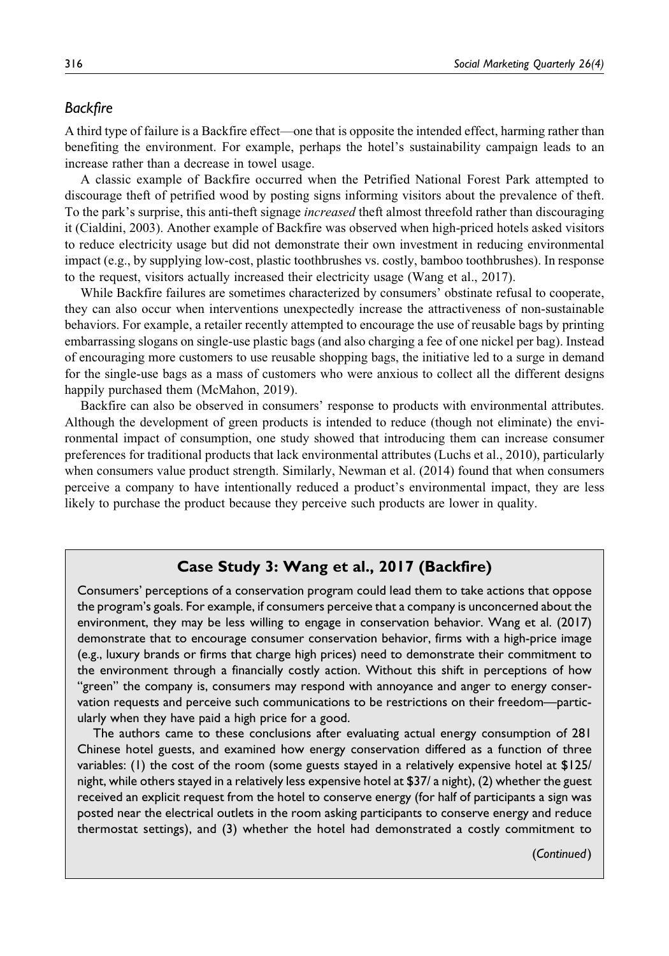# *Backfire*

A third type of failure is a Backfire effect—one that is opposite the intended effect, harming rather than benefiting the environment. For example, perhaps the hotel's sustainability campaign leads to an increase rather than a decrease in towel usage.

A classic example of Backfire occurred when the Petrified National Forest Park attempted to discourage theft of petrified wood by posting signs informing visitors about the prevalence of theft. To the park's surprise, this anti-theft signage *increased* theft almost threefold rather than discouraging it (Cialdini, 2003). Another example of Backfire was observed when high-priced hotels asked visitors to reduce electricity usage but did not demonstrate their own investment in reducing environmental impact (e.g., by supplying low-cost, plastic toothbrushes vs. costly, bamboo toothbrushes). In response to the request, visitors actually increased their electricity usage (Wang et al., 2017).

While Backfire failures are sometimes characterized by consumers' obstinate refusal to cooperate, they can also occur when interventions unexpectedly increase the attractiveness of non-sustainable behaviors. For example, a retailer recently attempted to encourage the use of reusable bags by printing embarrassing slogans on single-use plastic bags (and also charging a fee of one nickel per bag). Instead of encouraging more customers to use reusable shopping bags, the initiative led to a surge in demand for the single-use bags as a mass of customers who were anxious to collect all the different designs happily purchased them (McMahon, 2019).

Backfire can also be observed in consumers' response to products with environmental attributes. Although the development of green products is intended to reduce (though not eliminate) the environmental impact of consumption, one study showed that introducing them can increase consumer preferences for traditional products that lack environmental attributes (Luchs et al., 2010), particularly when consumers value product strength. Similarly, Newman et al. (2014) found that when consumers perceive a company to have intentionally reduced a product's environmental impact, they are less likely to purchase the product because they perceive such products are lower in quality.

# **Case Study 3: Wang et al., 2017 (Backfire)**

Consumers' perceptions of a conservation program could lead them to take actions that oppose the program's goals. For example, if consumers perceive that a company is unconcerned about the environment, they may be less willing to engage in conservation behavior. Wang et al. (2017) demonstrate that to encourage consumer conservation behavior, firms with a high-price image (e.g., luxury brands or firms that charge high prices) need to demonstrate their commitment to the environment through a financially costly action. Without this shift in perceptions of how "green" the company is, consumers may respond with annoyance and anger to energy conservation requests and perceive such communications to be restrictions on their freedom—particularly when they have paid a high price for a good.

The authors came to these conclusions after evaluating actual energy consumption of 281 Chinese hotel guests, and examined how energy conservation differed as a function of three variables: (1) the cost of the room (some guests stayed in a relatively expensive hotel at \$125/ night, while others stayed in a relatively less expensive hotel at \$37/ a night), (2) whether the guest received an explicit request from the hotel to conserve energy (for half of participants a sign was posted near the electrical outlets in the room asking participants to conserve energy and reduce thermostat settings), and (3) whether the hotel had demonstrated a costly commitment to

(*Continued*)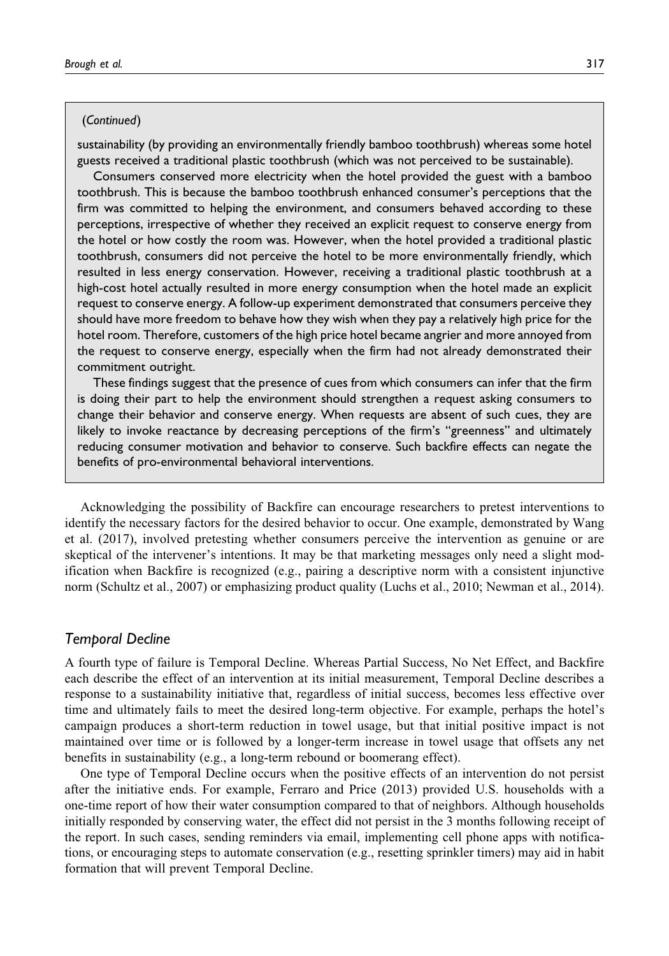#### (*Continued*)

sustainability (by providing an environmentally friendly bamboo toothbrush) whereas some hotel guests received a traditional plastic toothbrush (which was not perceived to be sustainable).

Consumers conserved more electricity when the hotel provided the guest with a bamboo toothbrush. This is because the bamboo toothbrush enhanced consumer's perceptions that the firm was committed to helping the environment, and consumers behaved according to these perceptions, irrespective of whether they received an explicit request to conserve energy from the hotel or how costly the room was. However, when the hotel provided a traditional plastic toothbrush, consumers did not perceive the hotel to be more environmentally friendly, which resulted in less energy conservation. However, receiving a traditional plastic toothbrush at a high-cost hotel actually resulted in more energy consumption when the hotel made an explicit request to conserve energy. A follow-up experiment demonstrated that consumers perceive they should have more freedom to behave how they wish when they pay a relatively high price for the hotel room. Therefore, customers of the high price hotel became angrier and more annoyed from the request to conserve energy, especially when the firm had not already demonstrated their commitment outright.

These findings suggest that the presence of cues from which consumers can infer that the firm is doing their part to help the environment should strengthen a request asking consumers to change their behavior and conserve energy. When requests are absent of such cues, they are likely to invoke reactance by decreasing perceptions of the firm's "greenness" and ultimately reducing consumer motivation and behavior to conserve. Such backfire effects can negate the benefits of pro-environmental behavioral interventions.

Acknowledging the possibility of Backfire can encourage researchers to pretest interventions to identify the necessary factors for the desired behavior to occur. One example, demonstrated by Wang et al. (2017), involved pretesting whether consumers perceive the intervention as genuine or are skeptical of the intervener's intentions. It may be that marketing messages only need a slight modification when Backfire is recognized (e.g., pairing a descriptive norm with a consistent injunctive norm (Schultz et al., 2007) or emphasizing product quality (Luchs et al., 2010; Newman et al., 2014).

### *Temporal Decline*

A fourth type of failure is Temporal Decline. Whereas Partial Success, No Net Effect, and Backfire each describe the effect of an intervention at its initial measurement, Temporal Decline describes a response to a sustainability initiative that, regardless of initial success, becomes less effective over time and ultimately fails to meet the desired long-term objective. For example, perhaps the hotel's campaign produces a short-term reduction in towel usage, but that initial positive impact is not maintained over time or is followed by a longer-term increase in towel usage that offsets any net benefits in sustainability (e.g., a long-term rebound or boomerang effect).

One type of Temporal Decline occurs when the positive effects of an intervention do not persist after the initiative ends. For example, Ferraro and Price (2013) provided U.S. households with a one-time report of how their water consumption compared to that of neighbors. Although households initially responded by conserving water, the effect did not persist in the 3 months following receipt of the report. In such cases, sending reminders via email, implementing cell phone apps with notifications, or encouraging steps to automate conservation (e.g., resetting sprinkler timers) may aid in habit formation that will prevent Temporal Decline.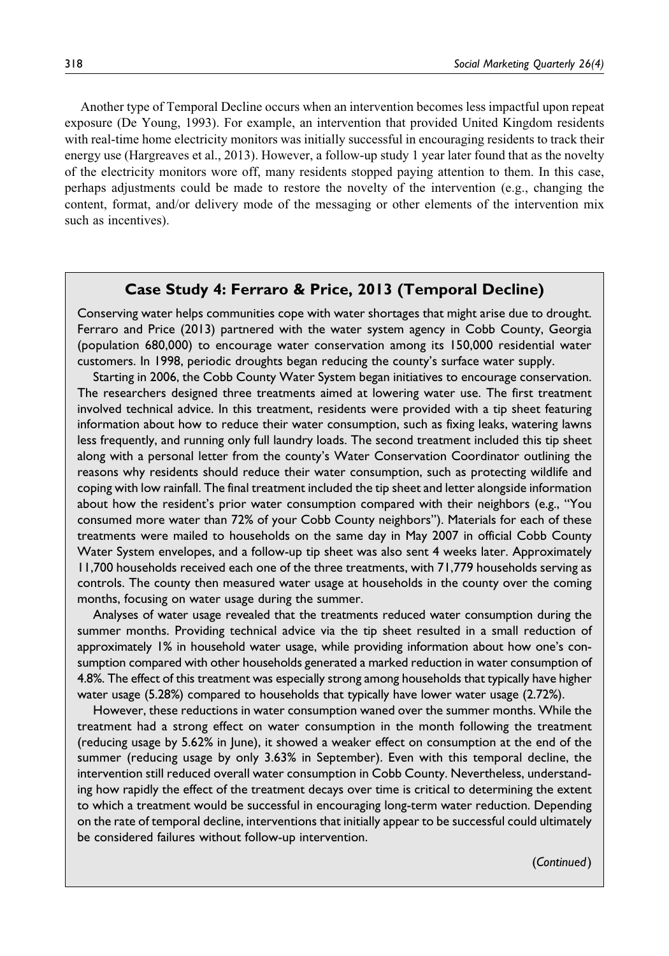Another type of Temporal Decline occurs when an intervention becomes less impactful upon repeat exposure (De Young, 1993). For example, an intervention that provided United Kingdom residents with real-time home electricity monitors was initially successful in encouraging residents to track their energy use (Hargreaves et al., 2013). However, a follow-up study 1 year later found that as the novelty of the electricity monitors wore off, many residents stopped paying attention to them. In this case, perhaps adjustments could be made to restore the novelty of the intervention (e.g., changing the content, format, and/or delivery mode of the messaging or other elements of the intervention mix such as incentives).

# **Case Study 4: Ferraro & Price, 2013 (Temporal Decline)**

Conserving water helps communities cope with water shortages that might arise due to drought. Ferraro and Price (2013) partnered with the water system agency in Cobb County, Georgia (population 680,000) to encourage water conservation among its 150,000 residential water customers. In 1998, periodic droughts began reducing the county's surface water supply.

Starting in 2006, the Cobb County Water System began initiatives to encourage conservation. The researchers designed three treatments aimed at lowering water use. The first treatment involved technical advice. In this treatment, residents were provided with a tip sheet featuring information about how to reduce their water consumption, such as fixing leaks, watering lawns less frequently, and running only full laundry loads. The second treatment included this tip sheet along with a personal letter from the county's Water Conservation Coordinator outlining the reasons why residents should reduce their water consumption, such as protecting wildlife and coping with low rainfall. The final treatment included the tip sheet and letter alongside information about how the resident's prior water consumption compared with their neighbors (e.g., "You consumed more water than 72% of your Cobb County neighbors"). Materials for each of these treatments were mailed to households on the same day in May 2007 in official Cobb County Water System envelopes, and a follow-up tip sheet was also sent 4 weeks later. Approximately 11,700 households received each one of the three treatments, with 71,779 households serving as controls. The county then measured water usage at households in the county over the coming months, focusing on water usage during the summer.

Analyses of water usage revealed that the treatments reduced water consumption during the summer months. Providing technical advice via the tip sheet resulted in a small reduction of approximately 1% in household water usage, while providing information about how one's consumption compared with other households generated a marked reduction in water consumption of 4.8%. The effect of this treatment was especially strong among households that typically have higher water usage (5.28%) compared to households that typically have lower water usage (2.72%).

However, these reductions in water consumption waned over the summer months. While the treatment had a strong effect on water consumption in the month following the treatment (reducing usage by 5.62% in June), it showed a weaker effect on consumption at the end of the summer (reducing usage by only 3.63% in September). Even with this temporal decline, the intervention still reduced overall water consumption in Cobb County. Nevertheless, understanding how rapidly the effect of the treatment decays over time is critical to determining the extent to which a treatment would be successful in encouraging long-term water reduction. Depending on the rate of temporal decline, interventions that initially appear to be successful could ultimately be considered failures without follow-up intervention.

(*Continued*)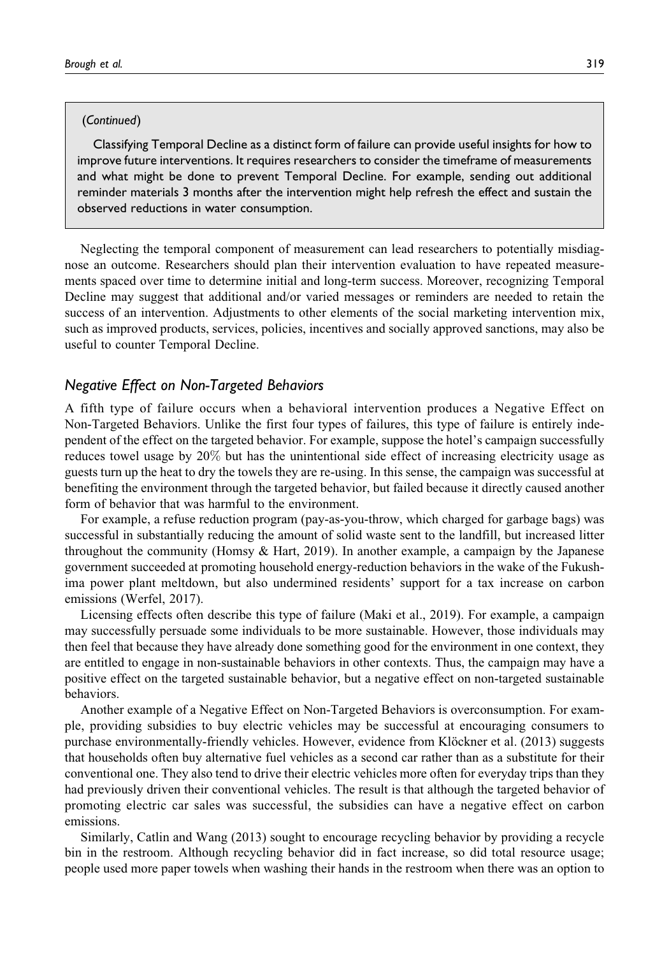#### (*Continued*)

Classifying Temporal Decline as a distinct form of failure can provide useful insights for how to improve future interventions. It requires researchers to consider the timeframe of measurements and what might be done to prevent Temporal Decline. For example, sending out additional reminder materials 3 months after the intervention might help refresh the effect and sustain the observed reductions in water consumption.

Neglecting the temporal component of measurement can lead researchers to potentially misdiagnose an outcome. Researchers should plan their intervention evaluation to have repeated measurements spaced over time to determine initial and long-term success. Moreover, recognizing Temporal Decline may suggest that additional and/or varied messages or reminders are needed to retain the success of an intervention. Adjustments to other elements of the social marketing intervention mix, such as improved products, services, policies, incentives and socially approved sanctions, may also be useful to counter Temporal Decline.

# *Negative Effect on Non-Targeted Behaviors*

A fifth type of failure occurs when a behavioral intervention produces a Negative Effect on Non-Targeted Behaviors. Unlike the first four types of failures, this type of failure is entirely independent of the effect on the targeted behavior. For example, suppose the hotel's campaign successfully reduces towel usage by 20% but has the unintentional side effect of increasing electricity usage as guests turn up the heat to dry the towels they are re-using. In this sense, the campaign was successful at benefiting the environment through the targeted behavior, but failed because it directly caused another form of behavior that was harmful to the environment.

For example, a refuse reduction program (pay-as-you-throw, which charged for garbage bags) was successful in substantially reducing the amount of solid waste sent to the landfill, but increased litter throughout the community (Homsy  $& Hart, 2019$ ). In another example, a campaign by the Japanese government succeeded at promoting household energy-reduction behaviors in the wake of the Fukushima power plant meltdown, but also undermined residents' support for a tax increase on carbon emissions (Werfel, 2017).

Licensing effects often describe this type of failure (Maki et al., 2019). For example, a campaign may successfully persuade some individuals to be more sustainable. However, those individuals may then feel that because they have already done something good for the environment in one context, they are entitled to engage in non-sustainable behaviors in other contexts. Thus, the campaign may have a positive effect on the targeted sustainable behavior, but a negative effect on non-targeted sustainable behaviors.

Another example of a Negative Effect on Non-Targeted Behaviors is overconsumption. For example, providing subsidies to buy electric vehicles may be successful at encouraging consumers to purchase environmentally-friendly vehicles. However, evidence from Klöckner et al. (2013) suggests that households often buy alternative fuel vehicles as a second car rather than as a substitute for their conventional one. They also tend to drive their electric vehicles more often for everyday trips than they had previously driven their conventional vehicles. The result is that although the targeted behavior of promoting electric car sales was successful, the subsidies can have a negative effect on carbon emissions.

Similarly, Catlin and Wang (2013) sought to encourage recycling behavior by providing a recycle bin in the restroom. Although recycling behavior did in fact increase, so did total resource usage; people used more paper towels when washing their hands in the restroom when there was an option to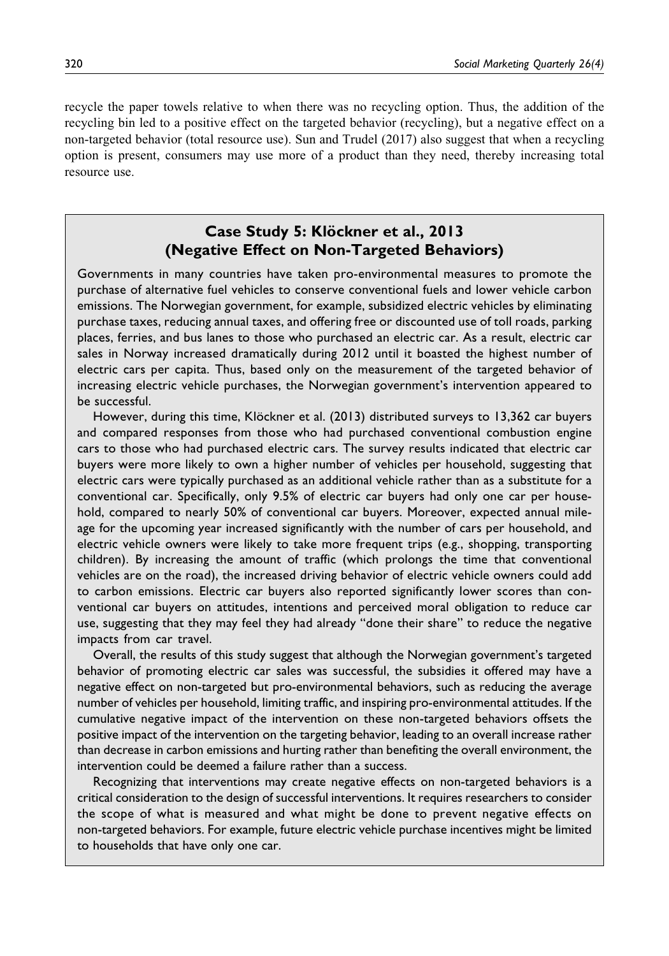recycle the paper towels relative to when there was no recycling option. Thus, the addition of the recycling bin led to a positive effect on the targeted behavior (recycling), but a negative effect on a non-targeted behavior (total resource use). Sun and Trudel (2017) also suggest that when a recycling option is present, consumers may use more of a product than they need, thereby increasing total resource use.

# **Case Study 5: Klöckner et al., 2013 (Negative Effect on Non-Targeted Behaviors)**

Governments in many countries have taken pro-environmental measures to promote the purchase of alternative fuel vehicles to conserve conventional fuels and lower vehicle carbon emissions. The Norwegian government, for example, subsidized electric vehicles by eliminating purchase taxes, reducing annual taxes, and offering free or discounted use of toll roads, parking places, ferries, and bus lanes to those who purchased an electric car. As a result, electric car sales in Norway increased dramatically during 2012 until it boasted the highest number of electric cars per capita. Thus, based only on the measurement of the targeted behavior of increasing electric vehicle purchases, the Norwegian government's intervention appeared to be successful.

However, during this time, Klöckner et al. (2013) distributed surveys to 13,362 car buyers and compared responses from those who had purchased conventional combustion engine cars to those who had purchased electric cars. The survey results indicated that electric car buyers were more likely to own a higher number of vehicles per household, suggesting that electric cars were typically purchased as an additional vehicle rather than as a substitute for a conventional car. Specifically, only 9.5% of electric car buyers had only one car per household, compared to nearly 50% of conventional car buyers. Moreover, expected annual mileage for the upcoming year increased significantly with the number of cars per household, and electric vehicle owners were likely to take more frequent trips (e.g., shopping, transporting children). By increasing the amount of traffic (which prolongs the time that conventional vehicles are on the road), the increased driving behavior of electric vehicle owners could add to carbon emissions. Electric car buyers also reported significantly lower scores than conventional car buyers on attitudes, intentions and perceived moral obligation to reduce car use, suggesting that they may feel they had already "done their share" to reduce the negative impacts from car travel.

Overall, the results of this study suggest that although the Norwegian government's targeted behavior of promoting electric car sales was successful, the subsidies it offered may have a negative effect on non-targeted but pro-environmental behaviors, such as reducing the average number of vehicles per household, limiting traffic, and inspiring pro-environmental attitudes. If the cumulative negative impact of the intervention on these non-targeted behaviors offsets the positive impact of the intervention on the targeting behavior, leading to an overall increase rather than decrease in carbon emissions and hurting rather than benefiting the overall environment, the intervention could be deemed a failure rather than a success.

Recognizing that interventions may create negative effects on non-targeted behaviors is a critical consideration to the design of successful interventions. It requires researchers to consider the scope of what is measured and what might be done to prevent negative effects on non-targeted behaviors. For example, future electric vehicle purchase incentives might be limited to households that have only one car.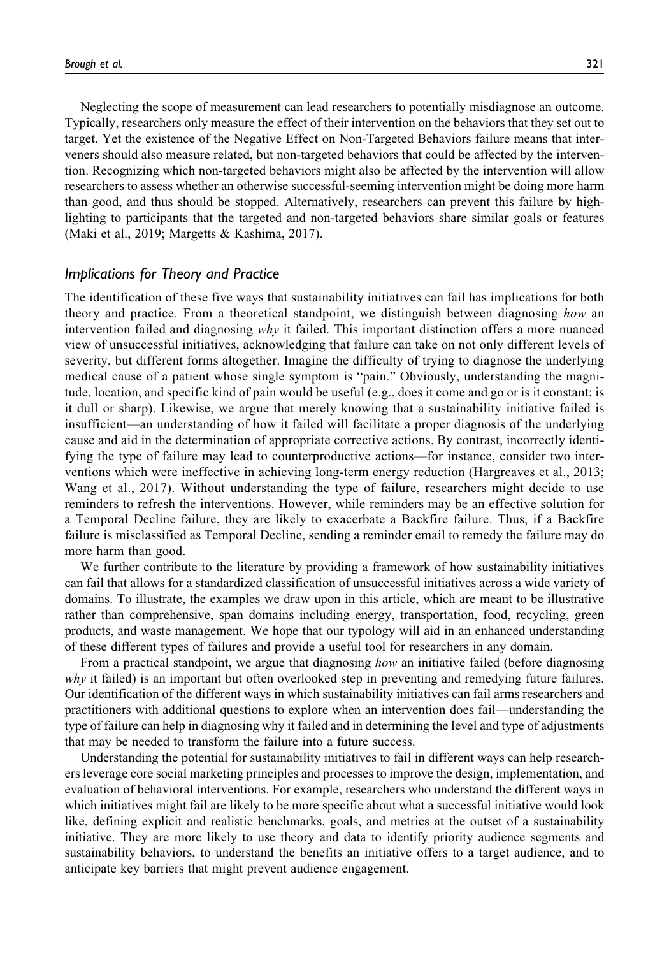Neglecting the scope of measurement can lead researchers to potentially misdiagnose an outcome. Typically, researchers only measure the effect of their intervention on the behaviors that they set out to target. Yet the existence of the Negative Effect on Non-Targeted Behaviors failure means that interveners should also measure related, but non-targeted behaviors that could be affected by the intervention. Recognizing which non-targeted behaviors might also be affected by the intervention will allow researchers to assess whether an otherwise successful-seeming intervention might be doing more harm than good, and thus should be stopped. Alternatively, researchers can prevent this failure by highlighting to participants that the targeted and non-targeted behaviors share similar goals or features (Maki et al., 2019; Margetts & Kashima, 2017).

# *Implications for Theory and Practice*

The identification of these five ways that sustainability initiatives can fail has implications for both theory and practice. From a theoretical standpoint, we distinguish between diagnosing how an intervention failed and diagnosing why it failed. This important distinction offers a more nuanced view of unsuccessful initiatives, acknowledging that failure can take on not only different levels of severity, but different forms altogether. Imagine the difficulty of trying to diagnose the underlying medical cause of a patient whose single symptom is "pain." Obviously, understanding the magnitude, location, and specific kind of pain would be useful (e.g., does it come and go or is it constant; is it dull or sharp). Likewise, we argue that merely knowing that a sustainability initiative failed is insufficient—an understanding of how it failed will facilitate a proper diagnosis of the underlying cause and aid in the determination of appropriate corrective actions. By contrast, incorrectly identifying the type of failure may lead to counterproductive actions—for instance, consider two interventions which were ineffective in achieving long-term energy reduction (Hargreaves et al., 2013; Wang et al., 2017). Without understanding the type of failure, researchers might decide to use reminders to refresh the interventions. However, while reminders may be an effective solution for a Temporal Decline failure, they are likely to exacerbate a Backfire failure. Thus, if a Backfire failure is misclassified as Temporal Decline, sending a reminder email to remedy the failure may do more harm than good.

We further contribute to the literature by providing a framework of how sustainability initiatives can fail that allows for a standardized classification of unsuccessful initiatives across a wide variety of domains. To illustrate, the examples we draw upon in this article, which are meant to be illustrative rather than comprehensive, span domains including energy, transportation, food, recycling, green products, and waste management. We hope that our typology will aid in an enhanced understanding of these different types of failures and provide a useful tool for researchers in any domain.

From a practical standpoint, we argue that diagnosing how an initiative failed (before diagnosing why it failed) is an important but often overlooked step in preventing and remedying future failures. Our identification of the different ways in which sustainability initiatives can fail arms researchers and practitioners with additional questions to explore when an intervention does fail—understanding the type of failure can help in diagnosing why it failed and in determining the level and type of adjustments that may be needed to transform the failure into a future success.

Understanding the potential for sustainability initiatives to fail in different ways can help researchers leverage core social marketing principles and processes to improve the design, implementation, and evaluation of behavioral interventions. For example, researchers who understand the different ways in which initiatives might fail are likely to be more specific about what a successful initiative would look like, defining explicit and realistic benchmarks, goals, and metrics at the outset of a sustainability initiative. They are more likely to use theory and data to identify priority audience segments and sustainability behaviors, to understand the benefits an initiative offers to a target audience, and to anticipate key barriers that might prevent audience engagement.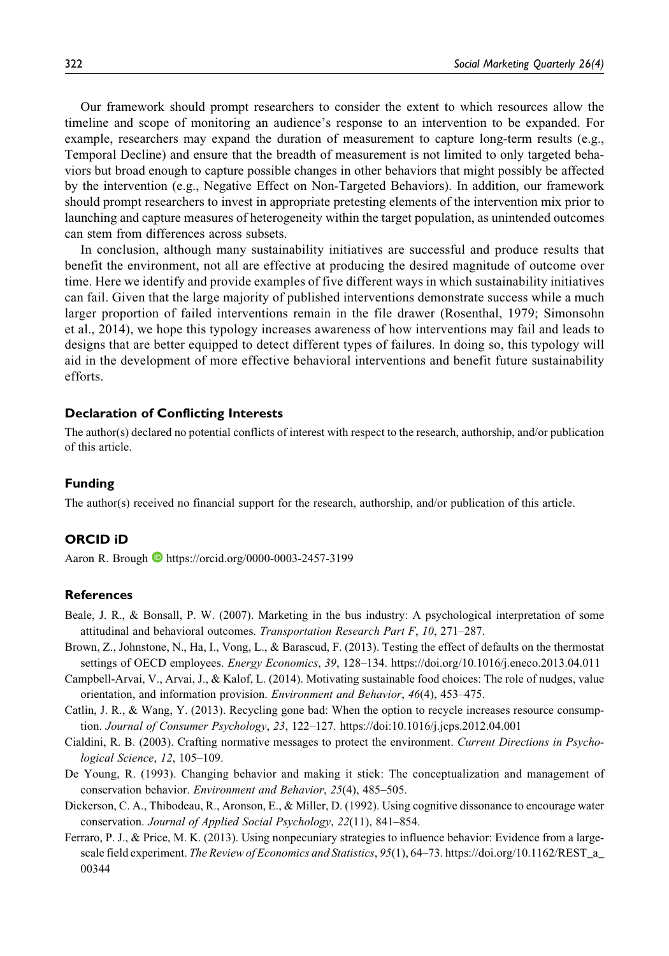Our framework should prompt researchers to consider the extent to which resources allow the timeline and scope of monitoring an audience's response to an intervention to be expanded. For example, researchers may expand the duration of measurement to capture long-term results (e.g., Temporal Decline) and ensure that the breadth of measurement is not limited to only targeted behaviors but broad enough to capture possible changes in other behaviors that might possibly be affected by the intervention (e.g., Negative Effect on Non-Targeted Behaviors). In addition, our framework should prompt researchers to invest in appropriate pretesting elements of the intervention mix prior to launching and capture measures of heterogeneity within the target population, as unintended outcomes can stem from differences across subsets.

In conclusion, although many sustainability initiatives are successful and produce results that benefit the environment, not all are effective at producing the desired magnitude of outcome over time. Here we identify and provide examples of five different ways in which sustainability initiatives can fail. Given that the large majority of published interventions demonstrate success while a much larger proportion of failed interventions remain in the file drawer (Rosenthal, 1979; Simonsohn et al., 2014), we hope this typology increases awareness of how interventions may fail and leads to designs that are better equipped to detect different types of failures. In doing so, this typology will aid in the development of more effective behavioral interventions and benefit future sustainability efforts.

#### **Declaration of Conflicting Interests**

The author(s) declared no potential conflicts of interest with respect to the research, authorship, and/or publication of this article.

#### **Funding**

The author(s) received no financial support for the research, authorship, and/or publication of this article.

#### **ORCID iD**

Aaron R. Brough **b** <https://orcid.org/0000-0003-2457-3199>

#### **References**

- Beale, J. R., & Bonsall, P. W. (2007). Marketing in the bus industry: A psychological interpretation of some attitudinal and behavioral outcomes. Transportation Research Part F, 10, 271–287.
- Brown, Z., Johnstone, N., Ha, I., Vong, L., & Barascud, F. (2013). Testing the effect of defaults on the thermostat settings of OECD employees. Energy Economics, 39, 128–134.<https://doi.org/10.1016/j.eneco.2013.04.011>
- Campbell-Arvai, V., Arvai, J., & Kalof, L. (2014). Motivating sustainable food choices: The role of nudges, value orientation, and information provision. Environment and Behavior, 46(4), 453–475.
- Catlin, J. R., & Wang, Y. (2013). Recycling gone bad: When the option to recycle increases resource consumption. Journal of Consumer Psychology, 23, 122–127.<https://doi:10.1016/j.jcps.2012.04.001>
- Cialdini, R. B. (2003). Crafting normative messages to protect the environment. Current Directions in Psychological Science, 12, 105–109.
- De Young, R. (1993). Changing behavior and making it stick: The conceptualization and management of conservation behavior. Environment and Behavior, 25(4), 485–505.
- Dickerson, C. A., Thibodeau, R., Aronson, E., & Miller, D. (1992). Using cognitive dissonance to encourage water conservation. Journal of Applied Social Psychology, 22(11), 841–854.
- Ferraro, P. J., & Price, M. K. (2013). Using nonpecuniary strategies to influence behavior: Evidence from a largescale field experiment. The Review of Economics and Statistics, 95(1), 64–73. [https://doi.org/10.1162/REST\\_a\\_](https://doi.org/10.1162/REST_a_00344) [00344](https://doi.org/10.1162/REST_a_00344)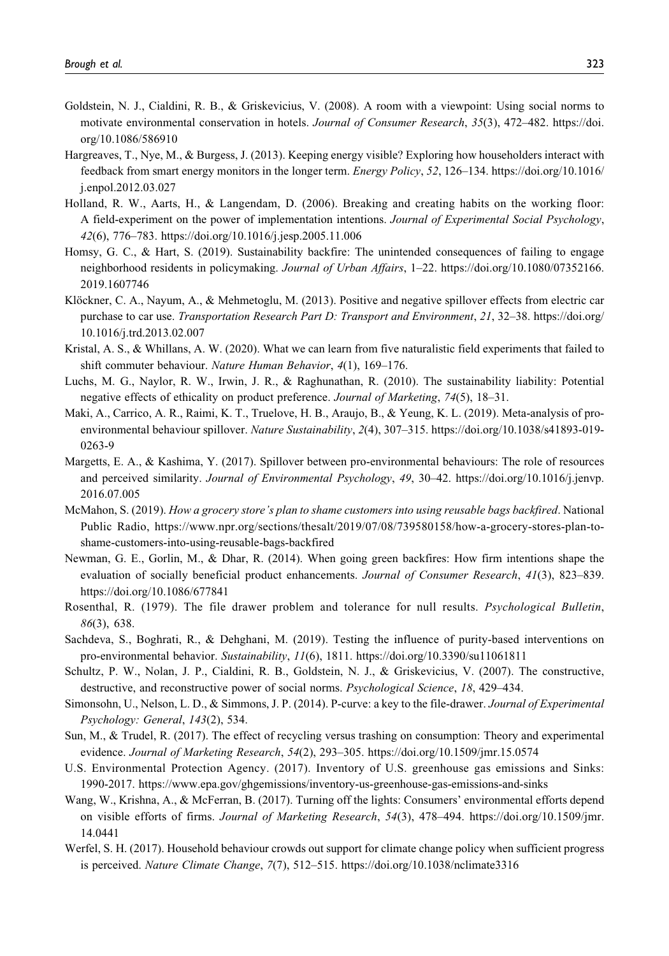- Goldstein, N. J., Cialdini, R. B., & Griskevicius, V. (2008). A room with a viewpoint: Using social norms to motivate environmental conservation in hotels. Journal of Consumer Research, 35(3), 472–482. [https://doi.](https://doi.org/10.1086/586910) [org/10.1086/586910](https://doi.org/10.1086/586910)
- Hargreaves, T., Nye, M., & Burgess, J. (2013). Keeping energy visible? Exploring how householders interact with feedback from smart energy monitors in the longer term. Energy Policy, 52, 126–134. [https://doi.org/10.1016/](https://doi.org/10.1016/j.enpol.2012.03.027) [j.enpol.2012.03.027](https://doi.org/10.1016/j.enpol.2012.03.027)
- Holland, R. W., Aarts, H., & Langendam, D. (2006). Breaking and creating habits on the working floor: A field-experiment on the power of implementation intentions. Journal of Experimental Social Psychology, 42(6), 776–783.<https://doi.org/10.1016/j.jesp.2005.11.006>
- Homsy, G. C., & Hart, S. (2019). Sustainability backfire: The unintended consequences of failing to engage neighborhood residents in policymaking. Journal of Urban Affairs, 1-22. https://doi.org/10.1080/07352166. 2019.1607746
- Klöckner, C. A., Nayum, A., & Mehmetoglu, M. (2013). Positive and negative spillover effects from electric car purchase to car use. Transportation Research Part D: Transport and Environment, 21, 32-38. [https://doi.org/](https://doi.org/10.1016/j.trd.2013.02.007) [10.1016/j.trd.2013.02.007](https://doi.org/10.1016/j.trd.2013.02.007)
- Kristal, A. S., & Whillans, A. W. (2020). What we can learn from five naturalistic field experiments that failed to shift commuter behaviour. Nature Human Behavior, 4(1), 169–176.
- Luchs, M. G., Naylor, R. W., Irwin, J. R., & Raghunathan, R. (2010). The sustainability liability: Potential negative effects of ethicality on product preference. Journal of Marketing, 74(5), 18–31.
- Maki, A., Carrico, A. R., Raimi, K. T., Truelove, H. B., Araujo, B., & Yeung, K. L. (2019). Meta-analysis of proenvironmental behaviour spillover. Nature Sustainability, 2(4), 307-315. [https://doi.org/10.1038/s41893-019-](https://doi.org/10.1038/s41893-019-0263-9) [0263-9](https://doi.org/10.1038/s41893-019-0263-9)
- Margetts, E. A., & Kashima, Y. (2017). Spillover between pro-environmental behaviours: The role of resources and perceived similarity. Journal of Environmental Psychology, 49, 30–42. [https://doi.org/10.1016/j.jenvp.](https://doi.org/10.1016/j.jenvp.2016.07.005) [2016.07.005](https://doi.org/10.1016/j.jenvp.2016.07.005)
- McMahon, S. (2019). How a grocery store's plan to shame customers into using reusable bags backfired. National Public Radio, [https://www.npr.org/sections/thesalt/2019/07/08/739580158/how-a-grocery-stores-plan-to](https://www.npr.org/sections/thesalt/2019/07/08/739580158/how-a-grocery-stores-plan-to-shame-customers-into-using-reusable-bags-backfired)[shame-customers-into-using-reusable-bags-backfired](https://www.npr.org/sections/thesalt/2019/07/08/739580158/how-a-grocery-stores-plan-to-shame-customers-into-using-reusable-bags-backfired)
- Newman, G. E., Gorlin, M., & Dhar, R. (2014). When going green backfires: How firm intentions shape the evaluation of socially beneficial product enhancements. Journal of Consumer Research, 41(3), 823–839. <https://doi.org/10.1086/677841>
- Rosenthal, R. (1979). The file drawer problem and tolerance for null results. Psychological Bulletin, 86(3), 638.
- Sachdeva, S., Boghrati, R., & Dehghani, M. (2019). Testing the influence of purity-based interventions on pro-environmental behavior. Sustainability, 11(6), 1811.<https://doi.org/10.3390/su11061811>
- Schultz, P. W., Nolan, J. P., Cialdini, R. B., Goldstein, N. J., & Griskevicius, V. (2007). The constructive, destructive, and reconstructive power of social norms. *Psychological Science*, 18, 429–434.
- Simonsohn, U., Nelson, L. D., & Simmons, J. P. (2014). P-curve: a key to the file-drawer. Journal of Experimental Psychology: General, 143(2), 534.
- Sun, M., & Trudel, R. (2017). The effect of recycling versus trashing on consumption: Theory and experimental evidence. Journal of Marketing Research, 54(2), 293–305.<https://doi.org/10.1509/jmr.15.0574>
- U.S. Environmental Protection Agency. (2017). Inventory of U.S. greenhouse gas emissions and Sinks: 1990-2017.<https://www.epa.gov/ghgemissions/inventory-us-greenhouse-gas-emissions-and-sinks>
- Wang, W., Krishna, A., & McFerran, B. (2017). Turning off the lights: Consumers' environmental efforts depend on visible efforts of firms. Journal of Marketing Research, 54(3), 478-494. [https://doi.org/10.1509/jmr.](https://doi.org/10.1509/jmr.14.0441) [14.0441](https://doi.org/10.1509/jmr.14.0441)
- Werfel, S. H. (2017). Household behaviour crowds out support for climate change policy when sufficient progress is perceived. Nature Climate Change, 7(7), 512–515.<https://doi.org/10.1038/nclimate3316>